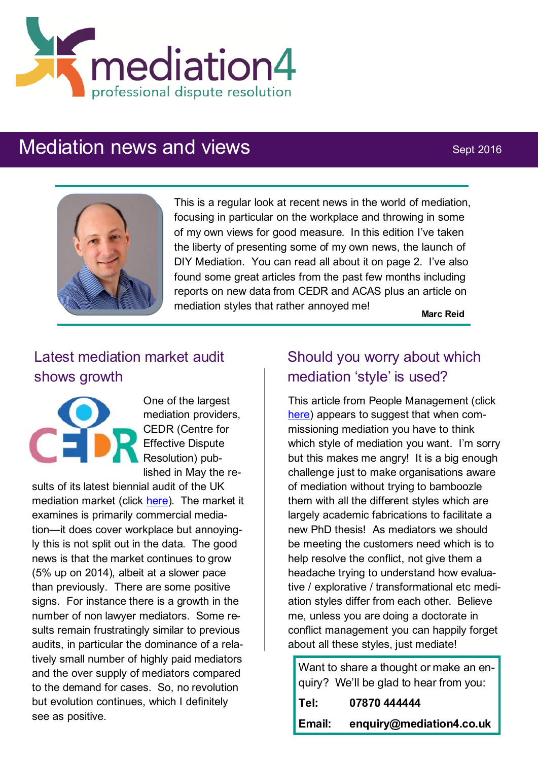

# Mediation news and views Sept 2016



This is a regular look at recent news in the world of mediation, focusing in particular on the workplace and throwing in some of my own views for good measure. In this edition I've taken the liberty of presenting some of my own news, the launch of DIY Mediation. You can read all about it on page 2. I've also found some great articles from the past few months including reports on new data from CEDR and ACAS plus an article on mediation styles that rather annoyed me!

**Marc Reid**

## Latest mediation market audit shows growth



One of the largest mediation providers, CEDR (Centre for Effective Dispute Resolution) published in May the re-

sults of its latest biennial audit of the UK mediation market (click [here\).](http://www.cedr.com/news/?item=Mediation-Market-grows-by-5-percent-The-CEDR-2016-Mediation-Audit) The market it examines is primarily commercial mediation—it does cover workplace but annoyingly this is not split out in the data. The good news is that the market continues to grow (5% up on 2014), albeit at a slower pace than previously. There are some positive signs. For instance there is a growth in the number of non lawyer mediators. Some results remain frustratingly similar to previous audits, in particular the dominance of a relatively small number of highly paid mediators and the over supply of mediators compared to the demand for cases. So, no revolution but evolution continues, which I definitely see as positive.

## Should you worry about which mediation 'style' is used?

This article from People Management (click [here\)](http://www.cipd.co.uk/pm/peoplemanagement/b/weblog/archive/2016/07/22/which-style-of-mediation-should-you-commission.aspx?utm_medium=email&utm_source=cipd&utm_campaign=pm_daily&utm_term=570597&utm_content=PM_daily_220716-6644-13616-20160722174705-Which%20s) appears to suggest that when commissioning mediation you have to think which style of mediation you want. I'm sorry but this makes me angry! It is a big enough challenge just to make organisations aware of mediation without trying to bamboozle them with all the different styles which are largely academic fabrications to facilitate a new PhD thesis! As mediators we should be meeting the customers need which is to help resolve the conflict, not give them a headache trying to understand how evaluative / explorative / transformational etc mediation styles differ from each other. Believe me, unless you are doing a doctorate in conflict management you can happily forget about all these styles, just mediate!

Want to share a thought or make an enquiry? We'll be glad to hear from you:

| Tel:   | 07870 444444             |
|--------|--------------------------|
| Email: | enquiry@mediation4.co.uk |